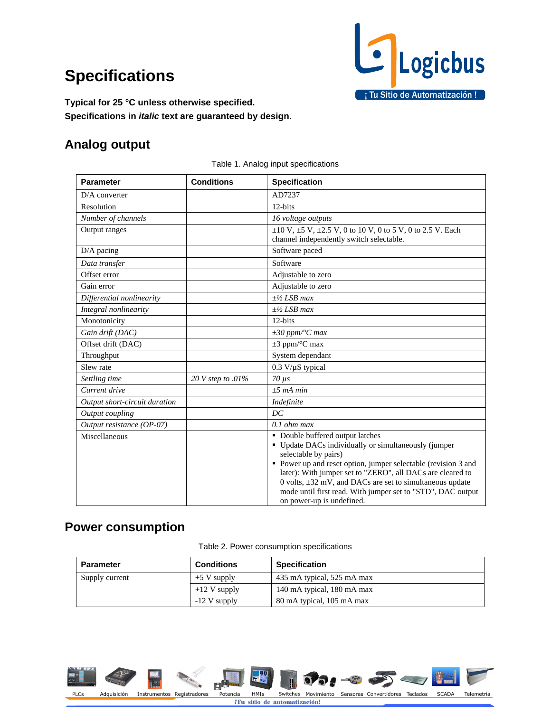# **Specifications**



**Typical for 25 °C unless otherwise specified. Specifications in** *italic* **text are guaranteed by design.** 

## **Analog output**

| <b>Parameter</b>              | <b>Conditions</b> | <b>Specification</b>                                                                                                                                                                                                                                                                                                                                                                                          |  |
|-------------------------------|-------------------|---------------------------------------------------------------------------------------------------------------------------------------------------------------------------------------------------------------------------------------------------------------------------------------------------------------------------------------------------------------------------------------------------------------|--|
| $D/A$ converter               |                   | AD7237                                                                                                                                                                                                                                                                                                                                                                                                        |  |
| Resolution                    |                   | 12-bits                                                                                                                                                                                                                                                                                                                                                                                                       |  |
| Number of channels            |                   | 16 voltage outputs                                                                                                                                                                                                                                                                                                                                                                                            |  |
| Output ranges                 |                   | $\pm 10$ V, $\pm 5$ V, $\pm 2.5$ V, 0 to 10 V, 0 to 5 V, 0 to 2.5 V. Each<br>channel independently switch selectable.                                                                                                                                                                                                                                                                                         |  |
| $D/A$ pacing                  |                   | Software paced                                                                                                                                                                                                                                                                                                                                                                                                |  |
| Data transfer                 |                   | Software                                                                                                                                                                                                                                                                                                                                                                                                      |  |
| Offset error                  |                   | Adjustable to zero                                                                                                                                                                                                                                                                                                                                                                                            |  |
| Gain error                    |                   | Adjustable to zero                                                                                                                                                                                                                                                                                                                                                                                            |  |
| Differential nonlinearity     |                   | $+1/2$ LSB max                                                                                                                                                                                                                                                                                                                                                                                                |  |
| Integral nonlinearity         |                   | $+1/2$ LSB max                                                                                                                                                                                                                                                                                                                                                                                                |  |
| Monotonicity                  |                   | 12-bits                                                                                                                                                                                                                                                                                                                                                                                                       |  |
| Gain drift (DAC)              |                   | $\pm 30$ ppm/°C max                                                                                                                                                                                                                                                                                                                                                                                           |  |
| Offset drift (DAC)            |                   | $\pm 3$ ppm/ $\rm ^{\circ}C$ max                                                                                                                                                                                                                                                                                                                                                                              |  |
| Throughput                    |                   | System dependant                                                                                                                                                                                                                                                                                                                                                                                              |  |
| Slew rate                     |                   | $0.3$ V/ $\mu$ S typical                                                                                                                                                                                                                                                                                                                                                                                      |  |
| Settling time                 | 20 V step to .01% | $70 \mu s$                                                                                                                                                                                                                                                                                                                                                                                                    |  |
| Current drive                 |                   | $±5$ mA min                                                                                                                                                                                                                                                                                                                                                                                                   |  |
| Output short-circuit duration |                   | Indefinite                                                                                                                                                                                                                                                                                                                                                                                                    |  |
| Output coupling               |                   | DC                                                                                                                                                                                                                                                                                                                                                                                                            |  |
| Output resistance (OP-07)     |                   | $0.1$ ohm max                                                                                                                                                                                                                                                                                                                                                                                                 |  |
| Miscellaneous                 |                   | • Double buffered output latches<br>• Update DACs individually or simultaneously (jumper<br>selectable by pairs)<br>• Power up and reset option, jumper selectable (revision 3 and<br>later): With jumper set to "ZERO", all DACs are cleared to<br>0 volts, $\pm 32$ mV, and DACs are set to simultaneous update<br>mode until first read. With jumper set to "STD", DAC output<br>on power-up is undefined. |  |

Table 1. Analog input specifications

# **Power consumption**

|  |  | Table 2. Power consumption specifications |
|--|--|-------------------------------------------|
|  |  |                                           |

| <b>Parameter</b> | <b>Conditions</b> | <b>Specification</b>       |  |
|------------------|-------------------|----------------------------|--|
| Supply current   | $+5$ V supply     | 435 mA typical, 525 mA max |  |
|                  | $+12$ V supply    | 140 mA typical, 180 mA max |  |
|                  | $-12$ V supply    | 80 mA typical, 105 mA max  |  |



iTu sitio de automatización!